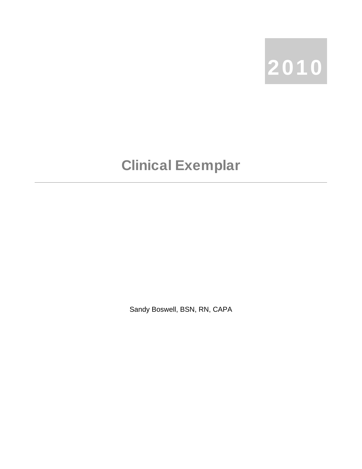

## Clinical Exemplar

Sandy Boswell, BSN, RN, CAPA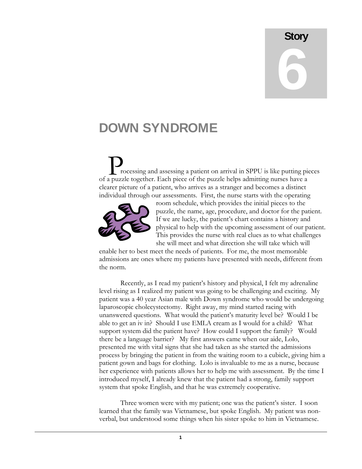## **Story** 6

## DOWN SYNDROME

rocessing and assessing a patient on arrival in SPPU is like putting pieces of a puzzle together. Each piece of the puzzle helps admitting nurses have a clearer picture of a patient, who arrives as a stranger and becomes a distinct individual through our assessments. First, the nurse starts with the operating  $\sum_{\text{re}}$ 



room schedule, which provides the initial pieces to the puzzle, the name, age, procedure, and doctor for the patient . If we are lucky, the patient's chart contains a history and physical to help with the upcoming assessment of our pa tient. This provides the nurse with real clues as to what challenges she will meet and what direction she will take which will

enable her to best meet the needs of patients. For me, the most memorable admissions are ones where my patients have presented with needs, different from the norm.

patient was a 40 year Asian male with Down syndrome who would be undergoing unanswered questions. What would the patient's maturity level be? Would I be support system did the patient have? How could I support the family? Would process by bringing the patient in from the waiting room to a cubicle, giving him a her experience with patients allows her to help me with assessment. By the time I introduced myself, I already knew that the patient had a strong, family support system that spoke English, and that he was extremely cooperative. Recently, as I read my patient's history and physical, I felt my adrenaline level rising as I realized my patient was going to be challenging and exciting. My laparoscopic cholecystectomy. Right away, my mind started racing with able to get an iv in? Should I use EMLA cream as I would for a child? What there be a language barrier? My first answers came when our aide, Lolo, presented me with vital signs that she had taken as she started the admissions patient gown and bags for clothing. Lolo is invaluable to me as a nurse, because

Three women were with my patient; one was the patient's sister. I soon learned that the family was Vietnamese, but spoke English. My patient was nonverbal, but understood some things when his sister spoke to him in Vietnamese.